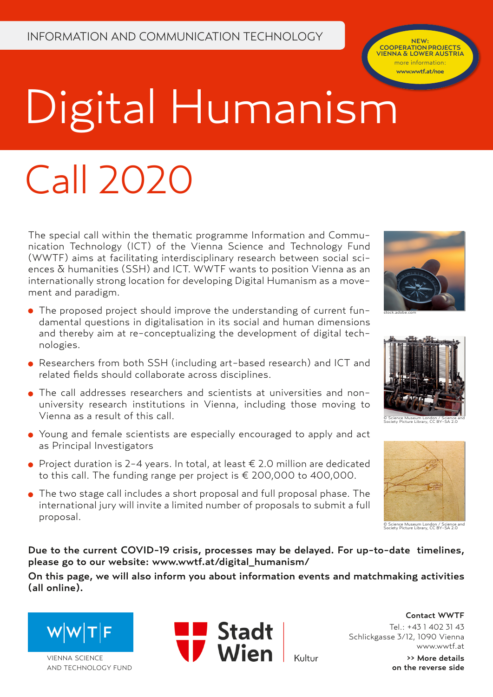COOPERATION PROJECTS VIENNA & LOWER AUSTRIA more information: www.wwtf.at/noe

# Digital Humanism

## Call 2020

The special call within the thematic programme Information and Communication Technology (ICT) of the Vienna Science and Technology Fund (WWTF) aims at facilitating interdisciplinary research between social sciences & humanities (SSH) and ICT. WWTF wants to position Vienna as an internationally strong location for developing Digital Humanism as a movement and paradigm.

- The proposed project should improve the understanding of current fundamental questions in digitalisation in its social and human dimensions and thereby aim at re-conceptualizing the development of digital technologies.
- Researchers from both SSH (including art-based research) and ICT and related fields should collaborate across disciplines.
- The call addresses researchers and scientists at universities and nonuniversity research institutions in Vienna, including those moving to Vienna as a result of this call.
- Young and female scientists are especially encouraged to apply and act as Principal Investigators
- Project duration is 2-4 years. In total, at least € 2.0 million are dedicated to this call. The funding range per project is € 200,000 to 400,000.
- The two stage call includes a short proposal and full proposal phase. The international jury will invite a limited number of proposals to submit a full proposal.





© Science Museum London / Science and Society Picture Library, CC BY-SA 2.0



© Science Museum London / Science and Society Picture Library, CC BY-SA 2.0

Due to the current COVID-19 crisis, processes may be delayed. For up-to-date timelines, please go to our website: www.wwtf.at/digital\_humanism/

On this page, we will also inform you about information events and matchmaking activities (all online).







Contact WWTF Tel.: +43 1 402 31 43 Schlickgasse 3/12, 1090 Vienna www.wwtf.at

>> More details on the reverse side